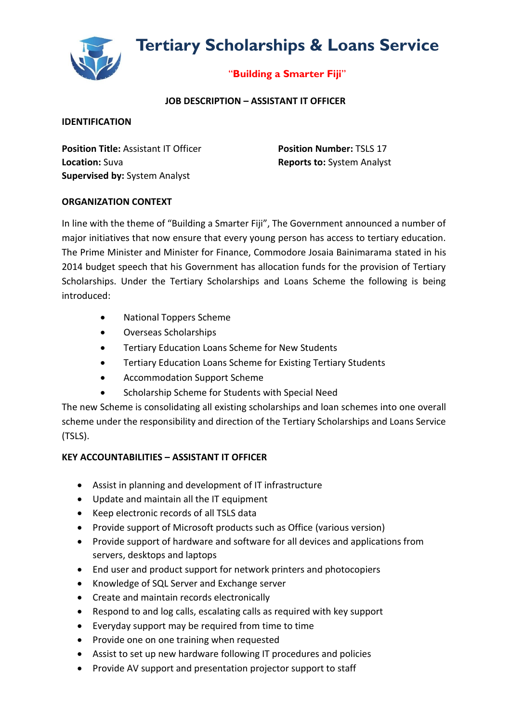# **Tertiary Scholarships & Loans Service**



## "**Building a Smarter Fiji**"

## **JOB DESCRIPTION – ASSISTANT IT OFFICER**

#### **IDENTIFICATION**

**Position Title:** Assistant IT Officer **Position Number:** TSLS 17 **Location:** Suva **Reports to:** System Analyst **Supervised by:** System Analyst

## **ORGANIZATION CONTEXT**

In line with the theme of "Building a Smarter Fiji", The Government announced a number of major initiatives that now ensure that every young person has access to tertiary education. The Prime Minister and Minister for Finance, Commodore Josaia Bainimarama stated in his 2014 budget speech that his Government has allocation funds for the provision of Tertiary Scholarships. Under the Tertiary Scholarships and Loans Scheme the following is being introduced:

- National Toppers Scheme
- Overseas Scholarships
- Tertiary Education Loans Scheme for New Students
- Tertiary Education Loans Scheme for Existing Tertiary Students
- Accommodation Support Scheme
- Scholarship Scheme for Students with Special Need

The new Scheme is consolidating all existing scholarships and loan schemes into one overall scheme under the responsibility and direction of the Tertiary Scholarships and Loans Service (TSLS).

## **KEY ACCOUNTABILITIES – ASSISTANT IT OFFICER**

- Assist in planning and development of IT infrastructure
- Update and maintain all the IT equipment
- Keep electronic records of all TSLS data
- Provide support of Microsoft products such as Office (various version)
- Provide support of hardware and software for all devices and applications from servers, desktops and laptops
- End user and product support for network printers and photocopiers
- Knowledge of SQL Server and Exchange server
- Create and maintain records electronically
- Respond to and log calls, escalating calls as required with key support
- Everyday support may be required from time to time
- Provide one on one training when requested
- Assist to set up new hardware following IT procedures and policies
- Provide AV support and presentation projector support to staff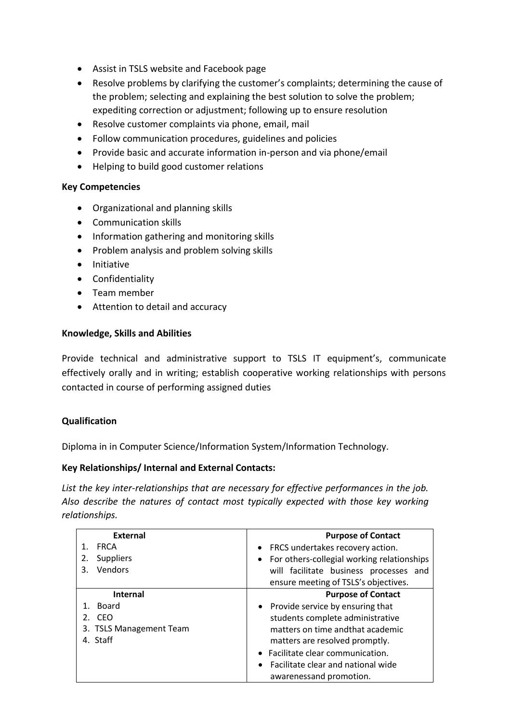- Assist in TSLS website and Facebook page
- Resolve problems by clarifying the customer's complaints; determining the cause of the problem; selecting and explaining the best solution to solve the problem; expediting correction or adjustment; following up to ensure resolution
- Resolve customer complaints via phone, email, mail
- Follow communication procedures, guidelines and policies
- Provide basic and accurate information in-person and via phone/email
- Helping to build good customer relations

## **Key Competencies**

- Organizational and planning skills
- Communication skills
- Information gathering and monitoring skills
- Problem analysis and problem solving skills
- Initiative
- Confidentiality
- Team member
- Attention to detail and accuracy

## **Knowledge, Skills and Abilities**

Provide technical and administrative support to TSLS IT equipment's, communicate effectively orally and in writing; establish cooperative working relationships with persons contacted in course of performing assigned duties

## **Qualification**

Diploma in in Computer Science/Information System/Information Technology.

## **Key Relationships/ Internal and External Contacts:**

*List the key inter-relationships that are necessary for effective performances in the job. Also describe the natures of contact most typically expected with those key working relationships.*

| <b>External</b>         | <b>Purpose of Contact</b>                               |
|-------------------------|---------------------------------------------------------|
| <b>FRCA</b>             | FRCS undertakes recovery action.<br>$\bullet$           |
| <b>Suppliers</b><br>2.  | For others-collegial working relationships<br>$\bullet$ |
| Vendors<br>3.           | will facilitate business processes and                  |
|                         | ensure meeting of TSLS's objectives.                    |
| Internal                | <b>Purpose of Contact</b>                               |
| Board                   | Provide service by ensuring that<br>$\bullet$           |
| 2. CEO                  | students complete administrative                        |
| 3. TSLS Management Team | matters on time andthat academic                        |
| 4. Staff                | matters are resolved promptly.                          |
|                         | Facilitate clear communication.                         |
|                         | Facilitate clear and national wide                      |
|                         | awarenessand promotion.                                 |